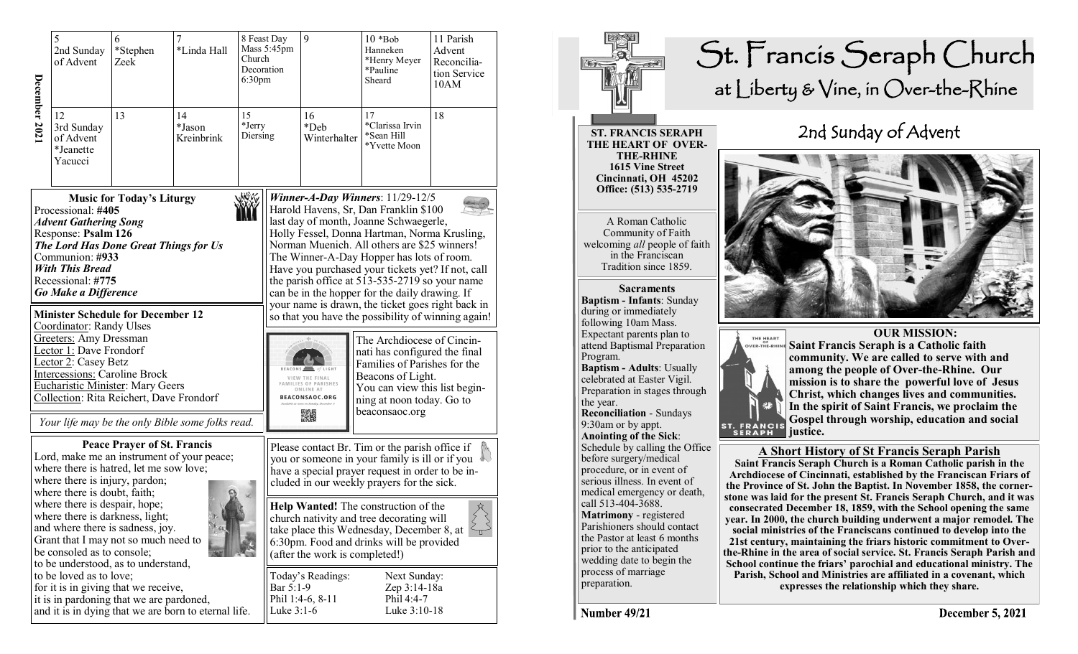| December 2021 | 5<br>2nd Sunday<br>of Advent                                                                                                                                                                                                                                                        | 6<br>*Stephen<br>Zeek                                                                                                                                                                                                                         | *Linda Hall                                          | 8 Feast Day<br>Mass 5:45pm<br>Church<br>Decoration<br>6:30 <sub>pm</sub> |                         | 9                                                                         | $10 * Bob$<br>Hanneken<br>*Henry Meyer<br>*Pauline<br>Sheard                                                                                                                                                                                                                                                                                                                                                                                                                                                                                                                                                                                                                                                                               | 11 Parish<br>Advent<br>Reconcilia-<br>tion Service<br>10AM |
|---------------|-------------------------------------------------------------------------------------------------------------------------------------------------------------------------------------------------------------------------------------------------------------------------------------|-----------------------------------------------------------------------------------------------------------------------------------------------------------------------------------------------------------------------------------------------|------------------------------------------------------|--------------------------------------------------------------------------|-------------------------|---------------------------------------------------------------------------|--------------------------------------------------------------------------------------------------------------------------------------------------------------------------------------------------------------------------------------------------------------------------------------------------------------------------------------------------------------------------------------------------------------------------------------------------------------------------------------------------------------------------------------------------------------------------------------------------------------------------------------------------------------------------------------------------------------------------------------------|------------------------------------------------------------|
|               | 12<br>3rd Sunday<br>of Advent<br>*Jeanette<br>Yacucci                                                                                                                                                                                                                               | 13                                                                                                                                                                                                                                            | 14<br>*Jason<br>Kreinbrink                           | 15<br>*Jerry<br>Diersing                                                 |                         | 16<br>*Deb<br>Winterhalter                                                | 17<br>*Clarissa Irvin<br>*Sean Hill<br>*Yvette Moon                                                                                                                                                                                                                                                                                                                                                                                                                                                                                                                                                                                                                                                                                        | 18                                                         |
|               | Processional: #405<br><b>Advent Gathering Song</b><br>Response: Psalm 126<br>Communion: #933<br><b>With This Bread</b><br>Recessional: #775<br>Go Make a Difference<br>Coordinator: Randy Ulses<br><b>Greeters:</b> Amy Dressman<br>Lector 1: Dave Frondorf<br>Lector 2: Casey Betz | <b>Music for Today's Liturgy</b><br>The Lord Has Done Great Things for Us<br><b>Minister Schedule for December 12</b><br><b>Intercessions: Caroline Brock</b><br>Eucharistic Minister: Mary Geers<br>Collection: Rita Reichert, Dave Frondorf | Your life may be the only Bible some folks read.     | <b>MWW</b>                                                               |                         | VIEW THE FINAL<br>AMILIES OF PARISHES<br>ONLINE AT<br>BEACONSAOC.ORG<br>骤 | Winner-A-Day Winners: $11/29-12/5$<br>Harold Havens, Sr, Dan Franklin \$100<br>last day of month, Joanne Schwaegerle,<br>Holly Fessel, Donna Hartman, Norma Krusling,<br>Norman Muenich. All others are \$25 winners!<br>The Winner-A-Day Hopper has lots of room.<br>Have you purchased your tickets yet? If not, call<br>the parish office at 513-535-2719 so your name<br>can be in the hopper for the daily drawing. If<br>your name is drawn, the ticket goes right back in<br>so that you have the possibility of winning again!<br>The Archdiocese of Cincin-<br>nati has configured the final<br>Families of Parishes for the<br>Beacons of Light.<br>You can view this list begin-<br>ning at noon today. Go to<br>beaconsaoc.org |                                                            |
|               | where there is injury, pardon;<br>where there is doubt, faith;<br>where there is despair, hope;<br>be consoled as to console;                                                                                                                                                       | <b>Peace Prayer of St. Francis</b><br>where there is hatred, let me sow love;<br>where there is darkness, light;<br>and where there is sadness, joy.<br>Grant that I may not so much need to<br>to be understood, as to understand,           | Lord, make me an instrument of your peace;           |                                                                          |                         |                                                                           | Please contact Br. Tim or the parish office if<br>you or someone in your family is ill or if you<br>have a special prayer request in order to be in-<br>cluded in our weekly prayers for the sick.<br>Help Wanted! The construction of the<br>church nativity and tree decorating will<br>take place this Wednesday, December 8, at<br>6:30pm. Food and drinks will be provided<br>(after the work is completed!)                                                                                                                                                                                                                                                                                                                          | $\leftrightarrow$<br>τ                                     |
|               | to be loved as to love;                                                                                                                                                                                                                                                             | for it is in giving that we receive,<br>it is in pardoning that we are pardoned,                                                                                                                                                              | and it is in dying that we are born to eternal life. |                                                                          | Bar 5:1-9<br>Luke 3:1-6 | Today's Readings:<br>Phil 1:4-6, 8-11                                     | Next Sunday:<br>Zep 3:14-18a<br>Phil 4:4-7<br>Luke 3:10-18                                                                                                                                                                                                                                                                                                                                                                                                                                                                                                                                                                                                                                                                                 |                                                            |



Number 49/21